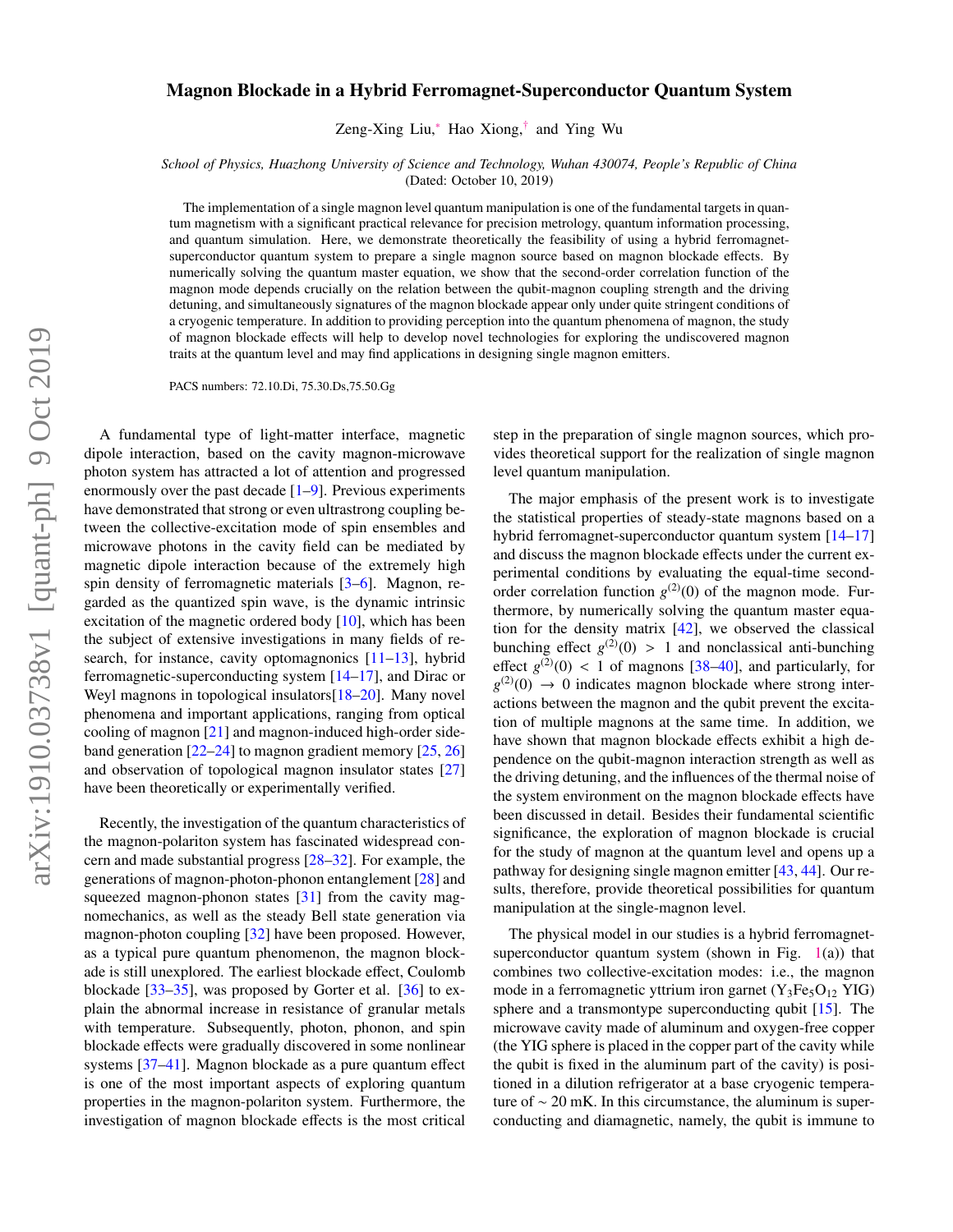## arXiv:1910.03738v1 [quant-ph] 9 Oct 2019 arXiv:1910.03738v1 [quant-ph] 9 Oct 2019

## Magnon Blockade in a Hybrid Ferromagnet-Superconductor Quantum System

Zeng-Xing Liu,[∗](#page-4-0) Hao Xiong,[†](#page-4-1) and Ying Wu

*School of Physics, Huazhong University of Science and Technology, Wuhan 430074, People's Republic of China* (Dated: October 10, 2019)

The implementation of a single magnon level quantum manipulation is one of the fundamental targets in quantum magnetism with a significant practical relevance for precision metrology, quantum information processing, and quantum simulation. Here, we demonstrate theoretically the feasibility of using a hybrid ferromagnetsuperconductor quantum system to prepare a single magnon source based on magnon blockade effects. By numerically solving the quantum master equation, we show that the second-order correlation function of the magnon mode depends crucially on the relation between the qubit-magnon coupling strength and the driving detuning, and simultaneously signatures of the magnon blockade appear only under quite stringent conditions of a cryogenic temperature. In addition to providing perception into the quantum phenomena of magnon, the study of magnon blockade effects will help to develop novel technologies for exploring the undiscovered magnon traits at the quantum level and may find applications in designing single magnon emitters.

PACS numbers: 72.10.Di, 75.30.Ds,75.50.Gg

A fundamental type of light-matter interface, magnetic dipole interaction, based on the cavity magnon-microwave photon system has attracted a lot of attention and progressed enormously over the past decade  $[1-9]$  $[1-9]$ . Previous experiments have demonstrated that strong or even ultrastrong coupling between the collective-excitation mode of spin ensembles and microwave photons in the cavity field can be mediated by magnetic dipole interaction because of the extremely high spin density of ferromagnetic materials [\[3](#page-4-4)[–6\]](#page-4-5). Magnon, regarded as the quantized spin wave, is the dynamic intrinsic excitation of the magnetic ordered body [\[10\]](#page-4-6), which has been the subject of extensive investigations in many fields of re-search, for instance, cavity optomagnonics [\[11–](#page-4-7)[13\]](#page-4-8), hybrid ferromagnetic-superconducting system [\[14](#page-4-9)[–17\]](#page-4-10), and Dirac or Weyl magnons in topological insulators [\[18](#page-4-11)[–20\]](#page-4-12). Many novel phenomena and important applications, ranging from optical cooling of magnon [\[21\]](#page-4-13) and magnon-induced high-order sideband generation [\[22](#page-4-14)[–24\]](#page-4-15) to magnon gradient memory [\[25,](#page-4-16) [26\]](#page-4-17) and observation of topological magnon insulator states [\[27\]](#page-4-18) have been theoretically or experimentally verified.

Recently, the investigation of the quantum characteristics of the magnon-polariton system has fascinated widespread concern and made substantial progress [\[28–](#page-4-19)[32\]](#page-4-20). For example, the generations of magnon-photon-phonon entanglement [\[28\]](#page-4-19) and squeezed magnon-phonon states  $[31]$  from the cavity magnomechanics, as well as the steady Bell state generation via magnon-photon coupling [\[32\]](#page-4-20) have been proposed. However, as a typical pure quantum phenomenon, the magnon blockade is still unexplored. The earliest blockade effect, Coulomb blockade [\[33](#page-4-22)[–35\]](#page-4-23), was proposed by Gorter et al. [\[36\]](#page-4-24) to explain the abnormal increase in resistance of granular metals with temperature. Subsequently, photon, phonon, and spin blockade effects were gradually discovered in some nonlinear systems [\[37–](#page-4-25)[41\]](#page-5-0). Magnon blockade as a pure quantum effect is one of the most important aspects of exploring quantum properties in the magnon-polariton system. Furthermore, the investigation of magnon blockade effects is the most critical

step in the preparation of single magnon sources, which provides theoretical support for the realization of single magnon level quantum manipulation.

The major emphasis of the present work is to investigate the statistical properties of steady-state magnons based on a hybrid ferromagnet-superconductor quantum system [\[14–](#page-4-9)[17\]](#page-4-10) and discuss the magnon blockade effects under the current experimental conditions by evaluating the equal-time secondorder correlation function  $g^{(2)}(0)$  of the magnon mode. Furthermore, by numerically solving the quantum master equation for the density matrix [\[42\]](#page-5-1), we observed the classical bunching effect  $g^{(2)}(0) > 1$  and nonclassical anti-bunching<br>effect  $g^{(2)}(0) < 1$  of magnons [38–40] and naticularly for effect  $g^{(2)}(0) < 1$  of magnons [\[38](#page-4-26)[–40\]](#page-5-2), and particularly, for  $g^{(2)}(0) \rightarrow 0$  indicates magnon blockade where strong inter $g^{(2)}(0) \rightarrow 0$  indicates magnon blockade where strong interactions between the magnon and the qubit prevent the excitation of multiple magnons at the same time. In addition, we have shown that magnon blockade effects exhibit a high dependence on the qubit-magnon interaction strength as well as the driving detuning, and the influences of the thermal noise of the system environment on the magnon blockade effects have been discussed in detail. Besides their fundamental scientific significance, the exploration of magnon blockade is crucial for the study of magnon at the quantum level and opens up a pathway for designing single magnon emitter [\[43,](#page-5-3) [44\]](#page-5-4). Our results, therefore, provide theoretical possibilities for quantum manipulation at the single-magnon level.

The physical model in our studies is a hybrid ferromagnetsuperconductor quantum system (shown in Fig.  $1(a)$  $1(a)$ ) that combines two collective-excitation modes: i.e., the magnon mode in a ferromagnetic yttrium iron garnet  $(Y_3Fe_5O_{12}$  YIG) sphere and a transmontype superconducting qubit [\[15\]](#page-4-27). The microwave cavity made of aluminum and oxygen-free copper (the YIG sphere is placed in the copper part of the cavity while the qubit is fixed in the aluminum part of the cavity) is positioned in a dilution refrigerator at a base cryogenic temperature of ∼ 20 mK. In this circumstance, the aluminum is superconducting and diamagnetic, namely, the qubit is immune to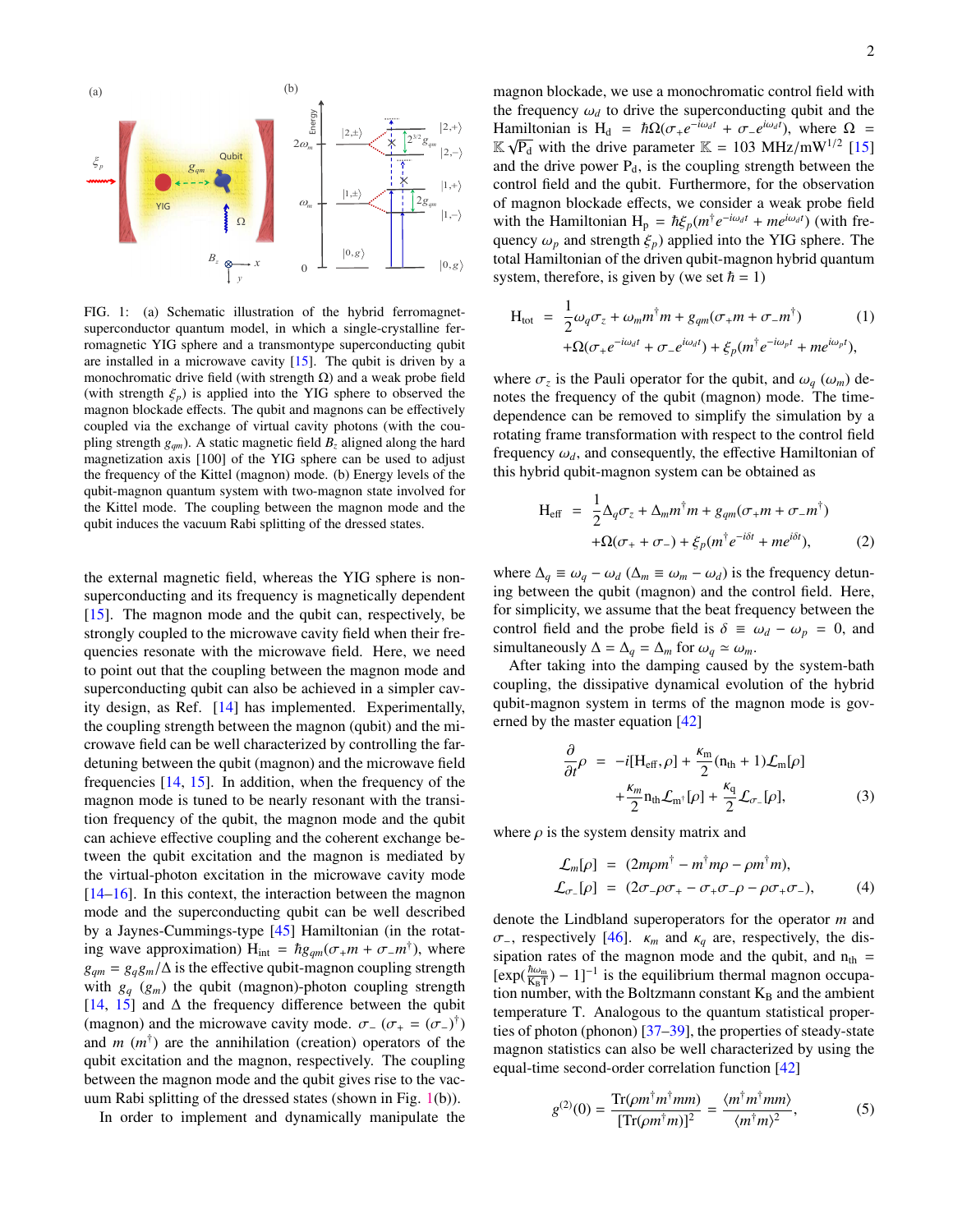

<span id="page-1-0"></span>FIG. 1: (a) Schematic illustration of the hybrid ferromagnetsuperconductor quantum model, in which a single-crystalline ferromagnetic YIG sphere and a transmontype superconducting qubit are installed in a microwave cavity  $[15]$ . The qubit is driven by a monochromatic drive field (with strength  $\Omega$ ) and a weak probe field (with strength  $\xi_p$ ) is applied into the YIG sphere to observed the magnon blockade effects. The qubit and magnons can be effectively coupled via the exchange of virtual cavity photons (with the coupling strength  $g_{qm}$ ). A static magnetic field  $B_z$  aligned along the hard magnetization axis [100] of the YIG sphere can be used to adjust the frequency of the Kittel (magnon) mode. (b) Energy levels of the qubit-magnon quantum system with two-magnon state involved for the Kittel mode. The coupling between the magnon mode and the qubit induces the vacuum Rabi splitting of the dressed states.

the external magnetic field, whereas the YIG sphere is nonsuperconducting and its frequency is magnetically dependent [\[15\]](#page-4-27). The magnon mode and the qubit can, respectively, be strongly coupled to the microwave cavity field when their frequencies resonate with the microwave field. Here, we need to point out that the coupling between the magnon mode and superconducting qubit can also be achieved in a simpler cavity design, as Ref. [\[14\]](#page-4-9) has implemented. Experimentally, the coupling strength between the magnon (qubit) and the microwave field can be well characterized by controlling the fardetuning between the qubit (magnon) and the microwave field frequencies [\[14,](#page-4-9) [15\]](#page-4-27). In addition, when the frequency of the magnon mode is tuned to be nearly resonant with the transition frequency of the qubit, the magnon mode and the qubit can achieve effective coupling and the coherent exchange between the qubit excitation and the magnon is mediated by the virtual-photon excitation in the microwave cavity mode [\[14](#page-4-9)[–16\]](#page-4-28). In this context, the interaction between the magnon mode and the superconducting qubit can be well described by a Jaynes-Cummings-type [\[45\]](#page-5-5) Hamiltonian (in the rotating wave approximation)  $H_{int} = \hbar g_{qm}(\sigma_+ m + \sigma_- m^{\dagger})$ , where  $g_{qm} = g_q g_m / \Delta$  is the effective qubit-magnon coupling strength with  $g_q$  ( $g_m$ ) the qubit (magnon)-photon coupling strength [\[14,](#page-4-9) [15\]](#page-4-27) and ∆ the frequency difference between the qubit (magnon) and the microwave cavity mode.  $\sigma_{-}(\sigma_{+} = (\sigma_{-})^{\dagger})$ <br>and *m* (*m*<sup>†</sup>) are the annihilation (creation) operators of the and  $m$  ( $m^{\dagger}$ ) are the annihilation (creation) operators of the qubit excitation and the magnon, respectively. The coupling between the magnon mode and the qubit gives rise to the vacuum Rabi splitting of the dressed states (shown in Fig. [1\(](#page-1-0)b)).

In order to implement and dynamically manipulate the

magnon blockade, we use a monochromatic control field with the frequency  $\omega_d$  to drive the superconducting qubit and the Hamiltonian is H<sub>d</sub> =  $\hbar\Omega(\sigma_+e^{-i\omega_d t} + \sigma_-e^{i\omega_d t})$ , where Ω =  $\mathbb{K}$  ⋅  $\mathbb{F}$ , with the drive parameter  $\mathbb{K}$  - 103 MHz/mW<sup>1/2</sup> [15]  $\mathbb{K}\sqrt{P_d}$  with the drive parameter  $\mathbb{K} = 103 \text{ MHz/mW}^{1/2}$  [\[15\]](#page-4-27) and the drive power  $P_d$ , is the coupling strength between the control field and the qubit. Furthermore, for the observation of magnon blockade effects, we consider a weak probe field with the Hamiltonian  $H_p = \hbar \xi_p(m^\dagger e^{-i\omega_d t} + me^{i\omega_d t})$  (with fre-<br>quency  $\omega$  and strength  $\xi$ ) annual into the YIG sphere. The quency  $\omega_p$  and strength  $\xi_p$ ) applied into the YIG sphere. The total Hamiltonian of the driven qubit-magnon hybrid quantum system, therefore, is given by (we set  $\hbar = 1$ )

$$
H_{tot} = \frac{1}{2}\omega_q \sigma_z + \omega_m m^{\dagger} m + g_{qm}(\sigma_+ m + \sigma_- m^{\dagger})
$$
 (1)  
+
$$
\Omega(\sigma_+ e^{-i\omega_d t} + \sigma_- e^{i\omega_d t}) + \xi_p(m^{\dagger} e^{-i\omega_p t} + m e^{i\omega_p t}),
$$

where  $\sigma_z$  is the Pauli operator for the qubit, and  $\omega_q$  ( $\omega_m$ ) denotes the frequency of the qubit (magnon) mode. The timedependence can be removed to simplify the simulation by a rotating frame transformation with respect to the control field frequency  $\omega_d$ , and consequently, the effective Hamiltonian of this hybrid qubit-magnon system can be obtained as

<span id="page-1-2"></span>
$$
H_{eff} = \frac{1}{2} \Delta_q \sigma_z + \Delta_m m^{\dagger} m + g_{qm} (\sigma_+ m + \sigma_- m^{\dagger})
$$
  
+ 
$$
\Omega(\sigma_+ + \sigma_-) + \xi_p (m^{\dagger} e^{-i\delta t} + m e^{i\delta t}),
$$
 (2)

where  $\Delta_q \equiv \omega_q - \omega_d$  ( $\Delta_m \equiv \omega_m - \omega_d$ ) is the frequency detuning between the qubit (magnon) and the control field. Here, for simplicity, we assume that the beat frequency between the control field and the probe field is  $\delta \equiv \omega_d - \omega_p = 0$ , and simultaneously  $\Delta = \Delta_q = \Delta_m$  for  $\omega_q \simeq \omega_m$ .

After taking into the damping caused by the system-bath coupling, the dissipative dynamical evolution of the hybrid qubit-magnon system in terms of the magnon mode is governed by the master equation [\[42\]](#page-5-1)

<span id="page-1-1"></span>
$$
\frac{\partial}{\partial t}\rho = -i[H_{\text{eff}}, \rho] + \frac{\kappa_{\text{m}}}{2}(n_{\text{th}} + 1)\mathcal{L}_{\text{m}}[\rho] \n+ \frac{\kappa_{m}}{2}n_{\text{th}}\mathcal{L}_{\text{m}^{\dagger}}[\rho] + \frac{\kappa_{q}}{2}\mathcal{L}_{\sigma}[\rho],
$$
\n(3)

where  $\rho$  is the system density matrix and

$$
\mathcal{L}_m[\rho] = (2m\rho m^{\dagger} - m^{\dagger} m\rho - \rho m^{\dagger} m), \n\mathcal{L}_{\sigma_-}[\rho] = (2\sigma_- \rho \sigma_+ - \sigma_+ \sigma_- \rho - \rho \sigma_+ \sigma_-),
$$
\n(4)

denote the Lindbland superoperators for the operator *m* and <sup>σ</sup><sup>−</sup>, respectively [\[46\]](#page-5-6). <sup>κ</sup>*<sup>m</sup>* and <sup>κ</sup>*<sup>q</sup>* are, respectively, the dissipation rates of the magnon mode and the qubit, and  $n_{th}$  =  $[\exp(\frac{\hbar\omega_m}{K_B T}) - 1]^{-1}$  is the equilibrium thermal magnon occupation number, with the Boltzmann constant  $K_B$  and the ambient temperature T. Analogous to the quantum statistical properties of photon (phonon) [\[37](#page-4-25)[–39\]](#page-4-29), the properties of steady-state magnon statistics can also be well characterized by using the equal-time second-order correlation function [\[42\]](#page-5-1)

$$
g^{(2)}(0) = \frac{\text{Tr}(\rho m^{\dagger} m^{\dagger} m m)}{[\text{Tr}(\rho m^{\dagger} m)]^2} = \frac{\langle m^{\dagger} m^{\dagger} m m \rangle}{\langle m^{\dagger} m \rangle^2},\tag{5}
$$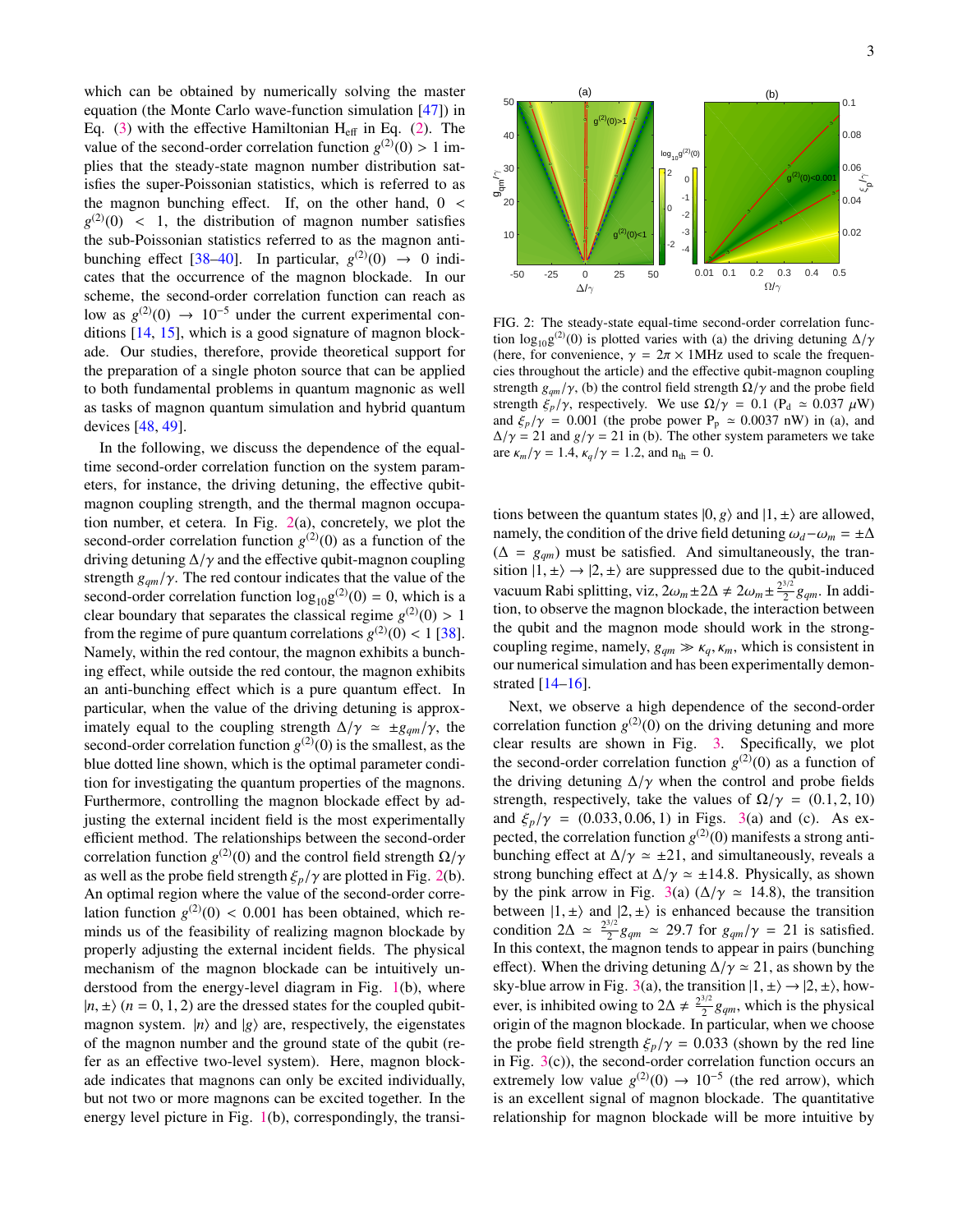which can be obtained by numerically solving the master equation (the Monte Carlo wave-function simulation [\[47\]](#page-5-7)) in Eq.  $(3)$  with the effective Hamiltonian H<sub>eff</sub> in Eq.  $(2)$ . The value of the second-order correlation function  $g^{(2)}(0) > 1$  implies that the steady-state magnon number distribution satisfies the super-Poissonian statistics, which is referred to as the magnon bunching effect. If, on the other hand,  $0 \le$  $g^{(2)}(0)$  < 1, the distribution of magnon number satisfies<br>the sub-Poissonian statistics referred to as the magnon antithe sub-Poissonian statistics referred to as the magnon anti-bunching effect [\[38](#page-4-26)[–40\]](#page-5-2). In particular,  $g^{(2)}(0) \rightarrow 0$  indicates that the occurrence of the magnon blockade. In our scheme, the second-order correlation function can reach as low as  $g^{(2)}(0)$  → 10<sup>-5</sup> under the current experimental conditions [\[14,](#page-4-9) [15\]](#page-4-27), which is a good signature of magnon blockade. Our studies, therefore, provide theoretical support for the preparation of a single photon source that can be applied to both fundamental problems in quantum magnonic as well as tasks of magnon quantum simulation and hybrid quantum devices [\[48,](#page-5-8) [49\]](#page-5-9).

In the following, we discuss the dependence of the equaltime second-order correlation function on the system parameters, for instance, the driving detuning, the effective qubitmagnon coupling strength, and the thermal magnon occupation number, et cetera. In Fig. [2\(](#page-2-0)a), concretely, we plot the second-order correlation function  $g^{(2)}(0)$  as a function of the driving detuning  $\Delta/\gamma$  and the effective qubit-magnon coupling strength  $g_{am}/\gamma$ . The red contour indicates that the value of the second-order correlation function  $log_{10}g^{(2)}(0) = 0$ , which is a clear boundary that separates the classical regime  $g^{(2)}(0) > 1$ <br>from the regime of pure quantum correlations  $g^{(2)}(0) < 1$  [38] from the regime of pure quantum correlations  $g^{(2)}(0) < 1$  [\[38\]](#page-4-26).<br>Namely, within the red contour, the magnon exhibits a bunch-Namely, within the red contour, the magnon exhibits a bunching effect, while outside the red contour, the magnon exhibits an anti-bunching effect which is a pure quantum effect. In particular, when the value of the driving detuning is approximately equal to the coupling strength  $\Delta/\gamma \approx \pm g_{qm}/\gamma$ , the second-order correlation function  $g^{(2)}(0)$  is the smallest, as the blue dotted line shown, which is the optimal parameter condition for investigating the quantum properties of the magnons. Furthermore, controlling the magnon blockade effect by adjusting the external incident field is the most experimentally efficient method. The relationships between the second-order correlation function *g*<sup>(2)</sup>(0) and the control field strength  $\Omega/\gamma$ <br>as well as the probe field strength  $\xi/\gamma$  are plotted in Fig. 2(b) as well as the probe field strength  $\xi_p/\gamma$  are plotted in Fig. [2\(](#page-2-0)b). An optimal region where the value of the second-order correlation function  $g^{(2)}(0) < 0.001$  has been obtained, which re-<br>minds us of the feasibility of realizing magnon blockade by minds us of the feasibility of realizing magnon blockade by properly adjusting the external incident fields. The physical mechanism of the magnon blockade can be intuitively understood from the energy-level diagram in Fig. [1\(](#page-1-0)b), where  $|n, \pm \rangle$  ( $n = 0, 1, 2$ ) are the dressed states for the coupled qubitmagnon system.  $|n\rangle$  and  $|g\rangle$  are, respectively, the eigenstates of the magnon number and the ground state of the qubit (refer as an effective two-level system). Here, magnon blockade indicates that magnons can only be excited individually, but not two or more magnons can be excited together. In the energy level picture in Fig. [1\(](#page-1-0)b), correspondingly, the transi-



<span id="page-2-0"></span>FIG. 2: The steady-state equal-time second-order correlation function  $\log_{10} g^{(2)}(0)$  is plotted varies with (a) the driving detuning  $\Delta/\gamma$ <br>(here for convenience  $\gamma = 2\pi \times 1$  MHz used to scale the frequen-(here, for convenience,  $\gamma = 2\pi \times 1$ MHz used to scale the frequencies throughout the article) and the effective qubit-magnon coupling strength  $g_{qm}/\gamma$ , (b) the control field strength  $\Omega/\gamma$  and the probe field strength  $\xi_p/\gamma$ , respectively. We use  $\Omega/\gamma = 0.1$  (P<sub>d</sub>  $\simeq 0.037 \mu W$ ) and  $\xi_p/\gamma = 0.001$  (the probe power P<sub>p</sub>  $\simeq 0.0037$  nW) in (a), and  $\Delta/\gamma = 21$  and  $g/\gamma = 21$  in (b). The other system parameters we take are  $\kappa_m/\gamma = 1.4$ ,  $\kappa_q/\gamma = 1.2$ , and  $n_{th} = 0$ .

tions between the quantum states  $|0, g\rangle$  and  $|1, \pm\rangle$  are allowed, namely, the condition of the drive field detuning  $\omega_d - \omega_m = \pm \Delta$  $(\Delta = g_{qm})$  must be satisfied. And simultaneously, the transition  $|1, \pm \rangle \rightarrow |2, \pm \rangle$  are suppressed due to the qubit-induced vacuum Rabi splitting, viz,  $2\omega_m \pm 2\Delta \neq 2\omega_m \pm \frac{2^{3/2}}{2}g_{qm}$ . In addition, to observe the magnon blockade, the interaction between tion, to observe the magnon blockade, the interaction between the qubit and the magnon mode should work in the strongcoupling regime, namely,  $g_{qm} \gg \kappa_q$ ,  $\kappa_m$ , which is consistent in our numerical simulation and has been experimentally demonstrated [\[14](#page-4-9)[–16\]](#page-4-28).

Next, we observe a high dependence of the second-order correlation function  $g^{(2)}(0)$  on the driving detuning and more clear results are shown in Fig. [3.](#page-3-0) Specifically, we plot the second-order correlation function  $g^{(2)}(0)$  as a function of the driving detuning  $\Delta/\gamma$  when the control and probe fields strength, respectively, take the values of  $\Omega/\gamma = (0.1, 2, 10)$ and  $\xi_p/\gamma = (0.033, 0.06, 1)$  in Figs. [3\(](#page-3-0)a) and (c). As expected, the correlation function  $g^{(2)}(0)$  manifests a strong antibunching effect at  $\Delta/\gamma \simeq \pm 21$ , and simultaneously, reveals a strong bunching effect at  $\Delta/\gamma \simeq \pm 14.8$ . Physically, as shown by the pink arrow in Fig. [3\(](#page-3-0)a) ( $\Delta/\gamma \approx 14.8$ ), the transition between  $|1, \pm\rangle$  and  $|2, \pm\rangle$  is enhanced because the transition condition  $2\Delta \approx \frac{2^{3/2}}{2}g_{qm} \approx 29.7$  for  $g_{qm}/\gamma = 21$  is satisfied. In this context, the magnon tends to appear in pairs (bunching effect). When the driving detuning  $\Delta/\gamma \simeq 21$ , as shown by the sky-blue arrow in Fig. 3(a), the transition  $|1, \pm\rangle \rightarrow |2, \pm\rangle$ , how-sky-blue arrow in Fig. [3\(](#page-3-0)a), the transition  $|1, \pm\rangle \rightarrow |2, \pm\rangle$ , how-<br>ever, is inhibited owing to  $2\Delta \neq \frac{2^{3/2}}{2}g_{qm}$ , which is the physical origin of the magnon blockade. In particular, when we choose the probe field strength  $\xi_p/\gamma = 0.033$  (shown by the red line in Fig.  $3(c)$  $3(c)$ ), the second-order correlation function occurs an extremely low value  $g^{(2)}(0) \rightarrow 10^{-5}$  (the red arrow), which is an excellent signal of magnon blockade. The quantitative relationship for magnon blockade will be more intuitive by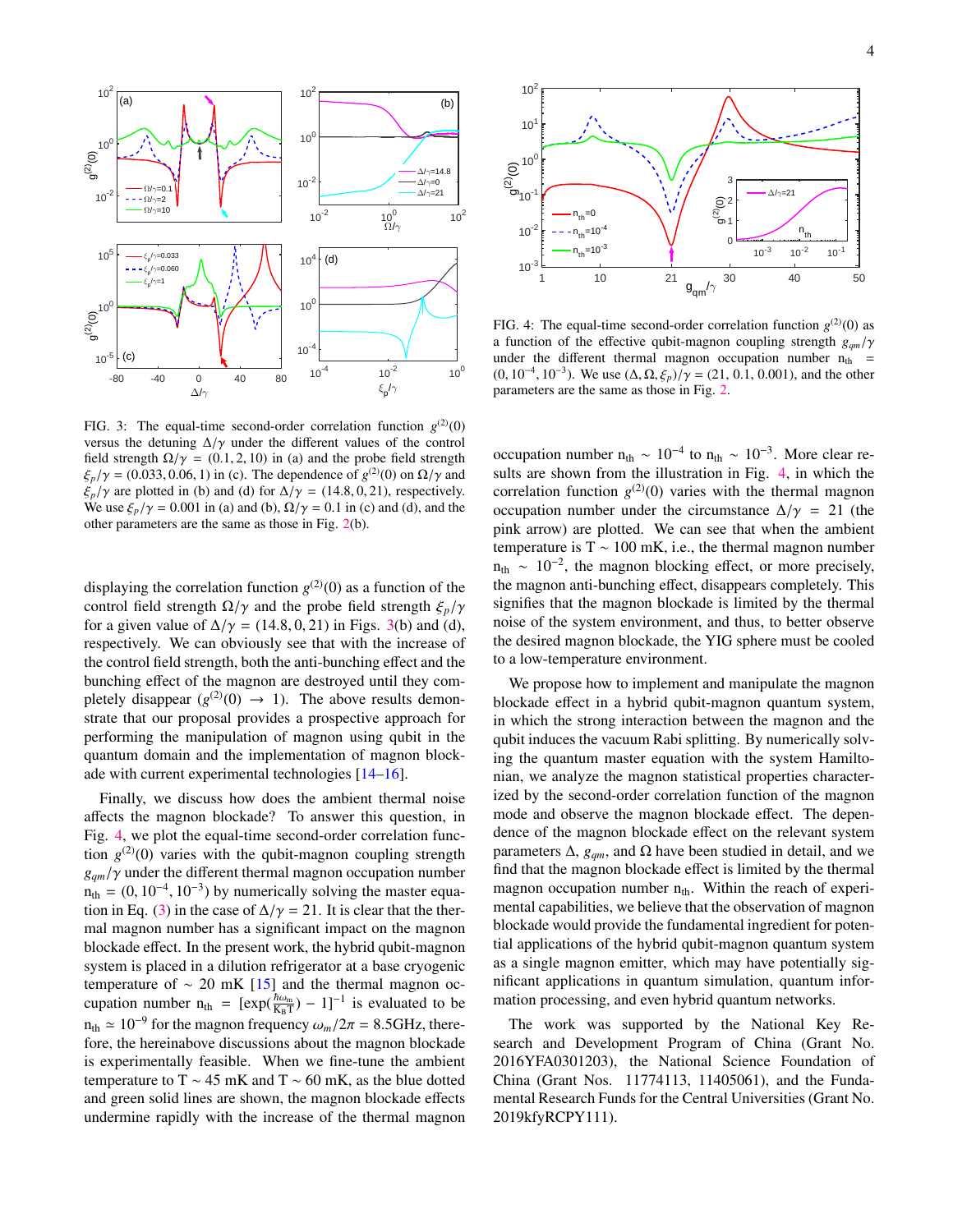

<span id="page-3-0"></span>FIG. 3: The equal-time second-order correlation function  $g^{(2)}(0)$ versus the detuning  $\Delta/\gamma$  under the different values of the control field strength  $\Omega/\gamma = (0.1, 2, 10)$  in (a) and the probe field strength  $\xi_p/\gamma = (0.033, 0.06, 1)$  in (c). The dependence of  $g^{(2)}(0)$  on  $\Omega/\gamma$  and  $\xi$  / $\gamma$  are plotted in (b) and (d) for  $\Delta/\gamma = (14.8, 0.21)$  respectively  $\xi_p/\gamma$  are plotted in (b) and (d) for  $\Delta/\gamma = (14.8, 0, 21)$ , respectively. We use  $\xi_p/\gamma = 0.001$  in (a) and (b),  $\Omega/\gamma = 0.1$  in (c) and (d), and the other parameters are the same as those in Fig. [2\(](#page-2-0)b).

displaying the correlation function  $g^{(2)}(0)$  as a function of the control field strength  $\Omega/\gamma$  and the probe field strength  $\xi_p/\gamma$ for a given value of  $\Delta/\gamma = (14.8, 0, 21)$  in Figs. [3\(](#page-3-0)b) and (d), respectively. We can obviously see that with the increase of the control field strength, both the anti-bunching effect and the bunching effect of the magnon are destroyed until they completely disappear  $(g^{(2)}(0) \rightarrow 1)$ . The above results demonstrate that our proposal provides a prospective approach for performing the manipulation of magnon using qubit in the quantum domain and the implementation of magnon blockade with current experimental technologies [\[14–](#page-4-9)[16\]](#page-4-28).

Finally, we discuss how does the ambient thermal noise affects the magnon blockade? To answer this question, in Fig. [4,](#page-3-1) we plot the equal-time second-order correlation function  $g^{(2)}(0)$  varies with the qubit-magnon coupling strength *<sup>g</sup>qm*/γ under the different thermal magnon occupation number  $n_{th} = (0, 10^{-4}, 10^{-3})$  by numerically solving the master equation in Eq. (3) in the case of  $\Delta/\gamma = 21$ . It is clear that the ther-tion in Eq. [\(3\)](#page-1-1) in the case of  $\Delta/\gamma = 21$ . It is clear that the thermal magnon number has a significant impact on the magnon blockade effect. In the present work, the hybrid qubit-magnon system is placed in a dilution refrigerator at a base cryogenic temperature of  $\sim 20$  mK [\[15\]](#page-4-27) and the thermal magnon occupation number  $n_{\text{th}} = [\exp(\frac{\hbar \omega_{\text{m}}}{K_{\text{B}}T}) - 1]^{-1}$  is evaluated to be  $n_{th} \approx 10^{-9}$  for the magnon frequency  $\omega_m/2\pi = 8.5$ GHz, there-<br>fore, the hereinabove discussions about the magnon blockade fore, the hereinabove discussions about the magnon blockade is experimentally feasible. When we fine-tune the ambient temperature to T ~ 45 mK and T ~ 60 mK, as the blue dotted and green solid lines are shown, the magnon blockade effects undermine rapidly with the increase of the thermal magnon



<span id="page-3-1"></span>FIG. 4: The equal-time second-order correlation function  $g^{(2)}(0)$  as a function of the effective qubit-magnon coupling strength *<sup>g</sup>qm*/γ under the different thermal magnon occupation number  $n_{th}$  = (0, 10<sup>-4</sup>, 10<sup>-3</sup>). We use  $(\Delta, \Omega, \xi_p)/\gamma = (21, 0.1, 0.001)$ , and the other parameters are the same as those in Fig. 2 parameters are the same as those in Fig. [2.](#page-2-0)

occupation number  $n_{th} \sim 10^{-4}$  to  $n_{th} \sim 10^{-3}$ . More clear results are shown from the illustration in Fig. [4,](#page-3-1) in which the correlation function  $g^{(2)}(0)$  varies with the thermal magnon occupation number under the circumstance  $\Delta/\gamma = 21$  (the pink arrow) are plotted. We can see that when the ambient temperature is T  $\sim 100$  mK, i.e., the thermal magnon number  $n_{\text{th}} \sim 10^{-2}$ , the magnon blocking effect, or more precisely, the magnon anti-bunching effect, disappears completely. This signifies that the magnon blockade is limited by the thermal noise of the system environment, and thus, to better observe the desired magnon blockade, the YIG sphere must be cooled to a low-temperature environment.

We propose how to implement and manipulate the magnon blockade effect in a hybrid qubit-magnon quantum system, in which the strong interaction between the magnon and the qubit induces the vacuum Rabi splitting. By numerically solving the quantum master equation with the system Hamiltonian, we analyze the magnon statistical properties characterized by the second-order correlation function of the magnon mode and observe the magnon blockade effect. The dependence of the magnon blockade effect on the relevant system parameters  $\Delta$ , *g<sub>qm</sub>*, and  $\Omega$  have been studied in detail, and we find that the magnon blockade effect is limited by the thermal magnon occupation number  $n_{th}$ . Within the reach of experimental capabilities, we believe that the observation of magnon blockade would provide the fundamental ingredient for potential applications of the hybrid qubit-magnon quantum system as a single magnon emitter, which may have potentially significant applications in quantum simulation, quantum information processing, and even hybrid quantum networks.

The work was supported by the National Key Research and Development Program of China (Grant No. 2016YFA0301203), the National Science Foundation of China (Grant Nos. 11774113, 11405061), and the Fundamental Research Funds for the Central Universities (Grant No. 2019kfyRCPY111).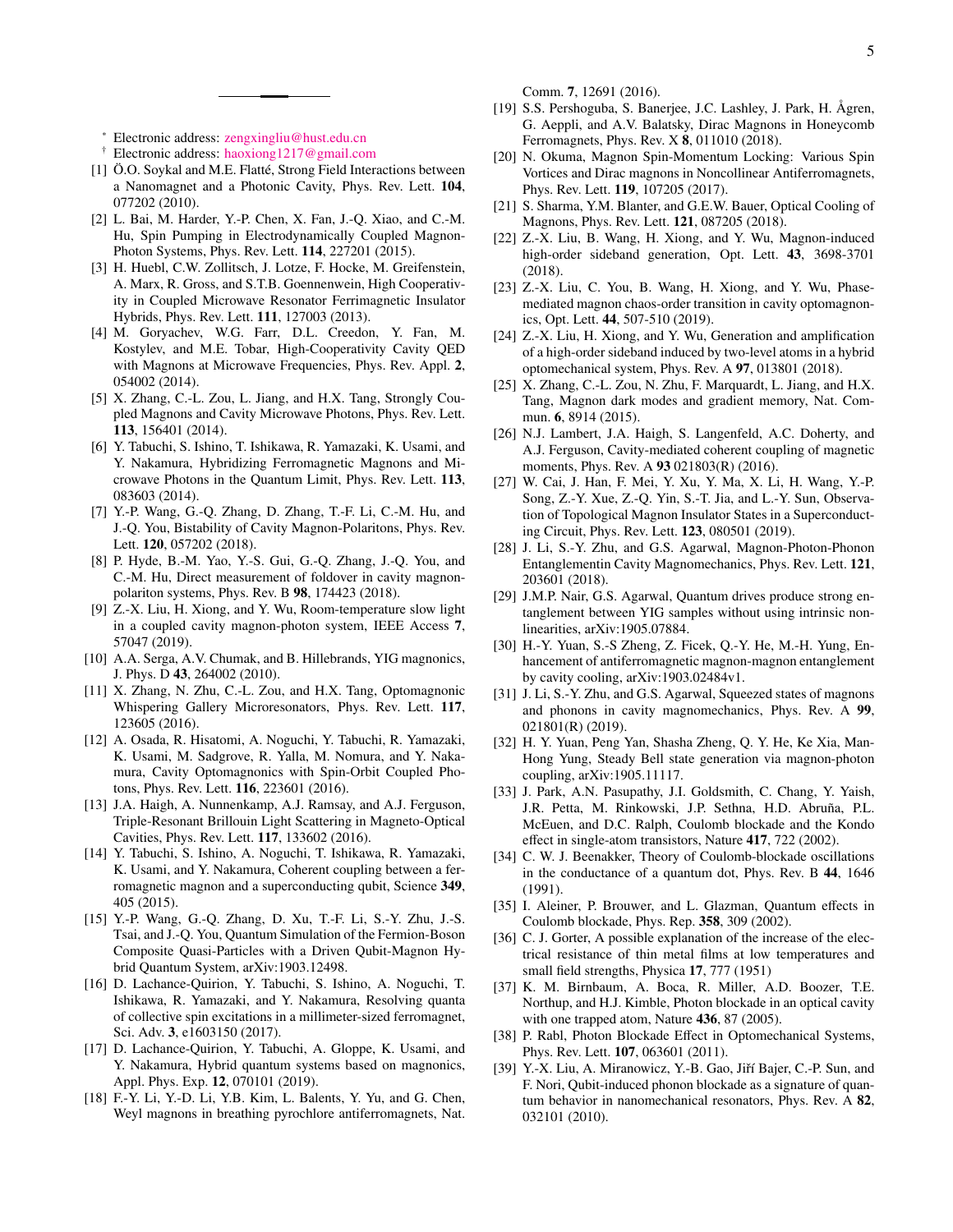Comm. 7, 12691 (2016).

- <span id="page-4-0"></span><sup>∗</sup> Electronic address: [zengxingliu@hust.edu.cn](mailto:zengxingliu@hust.edu.cn)
- <span id="page-4-1"></span>† Electronic address: [haoxiong1217@gmail.com](mailto:haoxiong1217@gmail.com)
- <span id="page-4-2"></span>[1] Ö.O. Soykal and M.E. Flatté, Strong Field Interactions between a Nanomagnet and a Photonic Cavity, Phys. Rev. Lett. 104, 077202 (2010).
- [2] L. Bai, M. Harder, Y.-P. Chen, X. Fan, J.-Q. Xiao, and C.-M. Hu, Spin Pumping in Electrodynamically Coupled Magnon-Photon Systems, Phys. Rev. Lett. 114, 227201 (2015).
- <span id="page-4-4"></span>[3] H. Huebl, C.W. Zollitsch, J. Lotze, F. Hocke, M. Greifenstein, A. Marx, R. Gross, and S.T.B. Goennenwein, High Cooperativity in Coupled Microwave Resonator Ferrimagnetic Insulator Hybrids, Phys. Rev. Lett. 111, 127003 (2013).
- [4] M. Goryachev, W.G. Farr, D.L. Creedon, Y. Fan, M. Kostylev, and M.E. Tobar, High-Cooperativity Cavity QED with Magnons at Microwave Frequencies, Phys. Rev. Appl. 2, 054002 (2014).
- [5] X. Zhang, C.-L. Zou, L. Jiang, and H.X. Tang, Strongly Coupled Magnons and Cavity Microwave Photons, Phys. Rev. Lett. 113, 156401 (2014).
- <span id="page-4-5"></span>[6] Y. Tabuchi, S. Ishino, T. Ishikawa, R. Yamazaki, K. Usami, and Y. Nakamura, Hybridizing Ferromagnetic Magnons and Microwave Photons in the Quantum Limit, Phys. Rev. Lett. 113, 083603 (2014).
- [7] Y.-P. Wang, G.-Q. Zhang, D. Zhang, T.-F. Li, C.-M. Hu, and J.-Q. You, Bistability of Cavity Magnon-Polaritons, Phys. Rev. Lett. 120, 057202 (2018).
- [8] P. Hyde, B.-M. Yao, Y.-S. Gui, G.-Q. Zhang, J.-Q. You, and C.-M. Hu, Direct measurement of foldover in cavity magnonpolariton systems, Phys. Rev. B 98, 174423 (2018).
- <span id="page-4-3"></span>[9] Z.-X. Liu, H. Xiong, and Y. Wu, Room-temperature slow light in a coupled cavity magnon-photon system, IEEE Access 7, 57047 (2019).
- <span id="page-4-6"></span>[10] A.A. Serga, A.V. Chumak, and B. Hillebrands, YIG magnonics, J. Phys. D 43, 264002 (2010).
- <span id="page-4-7"></span>[11] X. Zhang, N. Zhu, C.-L. Zou, and H.X. Tang, Optomagnonic Whispering Gallery Microresonators, Phys. Rev. Lett. 117, 123605 (2016).
- [12] A. Osada, R. Hisatomi, A. Noguchi, Y. Tabuchi, R. Yamazaki, K. Usami, M. Sadgrove, R. Yalla, M. Nomura, and Y. Nakamura, Cavity Optomagnonics with Spin-Orbit Coupled Photons, Phys. Rev. Lett. 116, 223601 (2016).
- <span id="page-4-8"></span>[13] J.A. Haigh, A. Nunnenkamp, A.J. Ramsay, and A.J. Ferguson, Triple-Resonant Brillouin Light Scattering in Magneto-Optical Cavities, Phys. Rev. Lett. 117, 133602 (2016).
- <span id="page-4-9"></span>[14] Y. Tabuchi, S. Ishino, A. Noguchi, T. Ishikawa, R. Yamazaki, K. Usami, and Y. Nakamura, Coherent coupling between a ferromagnetic magnon and a superconducting qubit, Science 349, 405 (2015).
- <span id="page-4-27"></span>[15] Y.-P. Wang, G.-Q. Zhang, D. Xu, T.-F. Li, S.-Y. Zhu, J.-S. Tsai, and J.-Q. You, Quantum Simulation of the Fermion-Boson Composite Quasi-Particles with a Driven Qubit-Magnon Hybrid Quantum System, arXiv:1903.12498.
- <span id="page-4-28"></span>[16] D. Lachance-Quirion, Y. Tabuchi, S. Ishino, A. Noguchi, T. Ishikawa, R. Yamazaki, and Y. Nakamura, Resolving quanta of collective spin excitations in a millimeter-sized ferromagnet, Sci. Adv. 3, e1603150 (2017).
- <span id="page-4-10"></span>[17] D. Lachance-Quirion, Y. Tabuchi, A. Gloppe, K. Usami, and Y. Nakamura, Hybrid quantum systems based on magnonics, Appl. Phys. Exp. 12, 070101 (2019).
- <span id="page-4-11"></span>[18] F.-Y. Li, Y.-D. Li, Y.B. Kim, L. Balents, Y. Yu, and G. Chen, Weyl magnons in breathing pyrochlore antiferromagnets, Nat.
- [19] S.S. Pershoguba, S. Banerjee, J.C. Lashley, J. Park, H. Ågren, G. Aeppli, and A.V. Balatsky, Dirac Magnons in Honeycomb Ferromagnets, Phys. Rev. X 8, 011010 (2018).
- <span id="page-4-12"></span>[20] N. Okuma, Magnon Spin-Momentum Locking: Various Spin Vortices and Dirac magnons in Noncollinear Antiferromagnets, Phys. Rev. Lett. 119, 107205 (2017).
- <span id="page-4-13"></span>[21] S. Sharma, Y.M. Blanter, and G.E.W. Bauer, Optical Cooling of Magnons, Phys. Rev. Lett. 121, 087205 (2018).
- <span id="page-4-14"></span>[22] Z.-X. Liu, B. Wang, H. Xiong, and Y. Wu, Magnon-induced high-order sideband generation, Opt. Lett. 43, 3698-3701 (2018).
- [23] Z.-X. Liu, C. You, B. Wang, H. Xiong, and Y. Wu, Phasemediated magnon chaos-order transition in cavity optomagnonics, Opt. Lett. 44, 507-510 (2019).
- <span id="page-4-15"></span>[24] Z.-X. Liu, H. Xiong, and Y. Wu, Generation and amplification of a high-order sideband induced by two-level atoms in a hybrid optomechanical system, Phys. Rev. A 97, 013801 (2018).
- <span id="page-4-16"></span>[25] X. Zhang, C.-L. Zou, N. Zhu, F. Marquardt, L. Jiang, and H.X. Tang, Magnon dark modes and gradient memory, Nat. Commun. 6, 8914 (2015).
- <span id="page-4-17"></span>[26] N.J. Lambert, J.A. Haigh, S. Langenfeld, A.C. Doherty, and A.J. Ferguson, Cavity-mediated coherent coupling of magnetic moments, Phys. Rev. A 93 021803(R) (2016).
- <span id="page-4-18"></span>[27] W. Cai, J. Han, F. Mei, Y. Xu, Y. Ma, X. Li, H. Wang, Y.-P. Song, Z.-Y. Xue, Z.-Q. Yin, S.-T. Jia, and L.-Y. Sun, Observation of Topological Magnon Insulator States in a Superconducting Circuit, Phys. Rev. Lett. 123, 080501 (2019).
- <span id="page-4-19"></span>[28] J. Li, S.-Y. Zhu, and G.S. Agarwal, Magnon-Photon-Phonon Entanglementin Cavity Magnomechanics, Phys. Rev. Lett. 121, 203601 (2018).
- [29] J.M.P. Nair, G.S. Agarwal, Quantum drives produce strong entanglement between YIG samples without using intrinsic nonlinearities, arXiv:1905.07884.
- [30] H.-Y. Yuan, S.-S Zheng, Z. Ficek, Q.-Y. He, M.-H. Yung, Enhancement of antiferromagnetic magnon-magnon entanglement by cavity cooling, arXiv:1903.02484v1.
- <span id="page-4-21"></span>[31] J. Li, S.-Y. Zhu, and G.S. Agarwal, Squeezed states of magnons and phonons in cavity magnomechanics, Phys. Rev. A 99, 021801(R) (2019).
- <span id="page-4-20"></span>[32] H. Y. Yuan, Peng Yan, Shasha Zheng, Q. Y. He, Ke Xia, Man-Hong Yung, Steady Bell state generation via magnon-photon coupling, arXiv:1905.11117.
- <span id="page-4-22"></span>[33] J. Park, A.N. Pasupathy, J.I. Goldsmith, C. Chang, Y. Yaish, J.R. Petta, M. Rinkowski, J.P. Sethna, H.D. Abruña, P.L. McEuen, and D.C. Ralph, Coulomb blockade and the Kondo effect in single-atom transistors, Nature 417, 722 (2002).
- [34] C. W. J. Beenakker, Theory of Coulomb-blockade oscillations in the conductance of a quantum dot, Phys. Rev. B 44, 1646 (1991).
- <span id="page-4-23"></span>[35] I. Aleiner, P. Brouwer, and L. Glazman, Quantum effects in Coulomb blockade, Phys. Rep. 358, 309 (2002).
- <span id="page-4-24"></span>[36] C. J. Gorter, A possible explanation of the increase of the electrical resistance of thin metal films at low temperatures and small field strengths, Physica 17, 777 (1951)
- <span id="page-4-25"></span>[37] K. M. Birnbaum, A. Boca, R. Miller, A.D. Boozer, T.E. Northup, and H.J. Kimble, Photon blockade in an optical cavity with one trapped atom, Nature 436, 87 (2005).
- <span id="page-4-26"></span>[38] P. Rabl, Photon Blockade Effect in Optomechanical Systems, Phys. Rev. Lett. 107, 063601 (2011).
- <span id="page-4-29"></span>[39] Y.-X. Liu, A. Miranowicz, Y.-B. Gao, Jiří Bajer, C.-P. Sun, and F. Nori, Qubit-induced phonon blockade as a signature of quantum behavior in nanomechanical resonators, Phys. Rev. A 82, 032101 (2010).